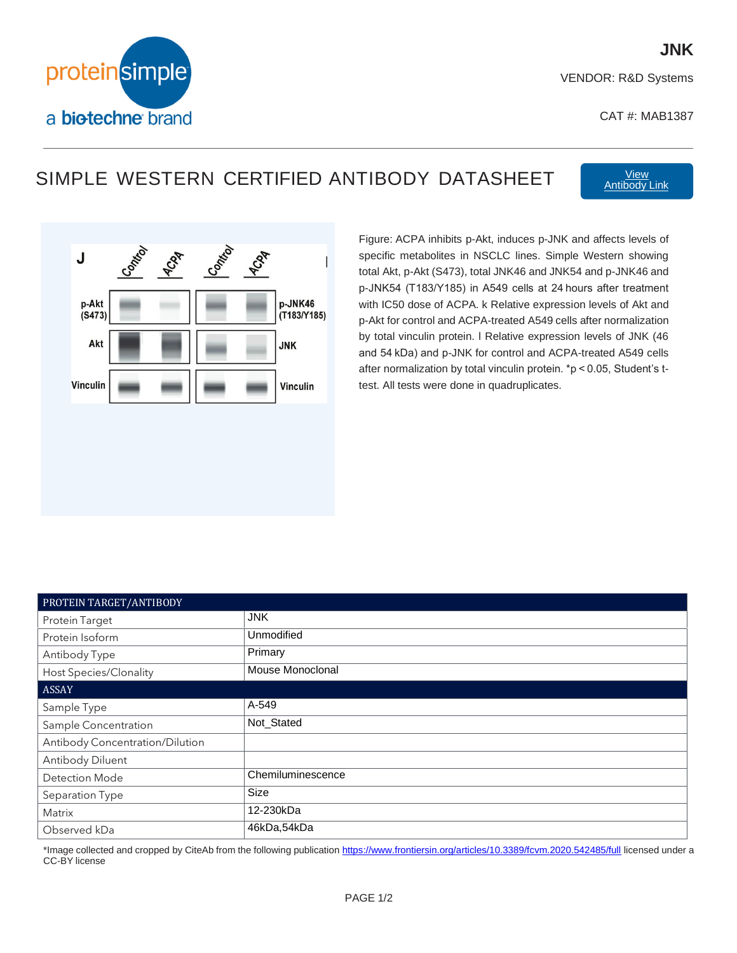

VENDOR: R&D Systems

CAT #: MAB1387

## SIMPLE WESTERN CERTIFIED ANTIBODY DATASHEET [Antibody](https://www.citeab.com/antibodies/r-d-systems/MAB1387) Link



Figure: ACPA inhibits p-Akt, induces p-JNK and affects levels of specific metabolites in NSCLC lines. Simple Western showing total Akt, p-Akt (S473), total JNK46 and JNK54 and p-JNK46 and p-JNK54 (T183/Y185) in A549 cells at 24 hours after treatment with IC50 dose of ACPA. k Relative expression levels of Akt and p-Akt for control and ACPA-treated A549 cells after normalization by total vinculin protein. l Relative expression levels of JNK (46 and 54 kDa) and p-JNK for control and ACPA-treated A549 cells after normalization by total vinculin protein. \*p < 0.05, Student's ttest. All tests were done in quadruplicates.

| PROTEIN TARGET/ANTIBODY         |                   |
|---------------------------------|-------------------|
| <b>Protein Target</b>           | <b>JNK</b>        |
| Protein Isoform                 | Unmodified        |
| Antibody Type                   | Primary           |
| Host Species/Clonality          | Mouse Monoclonal  |
| <b>ASSAY</b>                    |                   |
| Sample Type                     | A-549             |
| Sample Concentration            | Not_Stated        |
| Antibody Concentration/Dilution |                   |
| Antibody Diluent                |                   |
| <b>Detection Mode</b>           | Chemiluminescence |
| Separation Type                 | <b>Size</b>       |
| Matrix                          | 12-230kDa         |
| Observed kDa                    | 46kDa,54kDa       |

\*Image collected and cropped by CiteAb from the following publication <https://www.frontiersin.org/articles/10.3389/fcvm.2020.542485/full> licensed under a CC-BY license